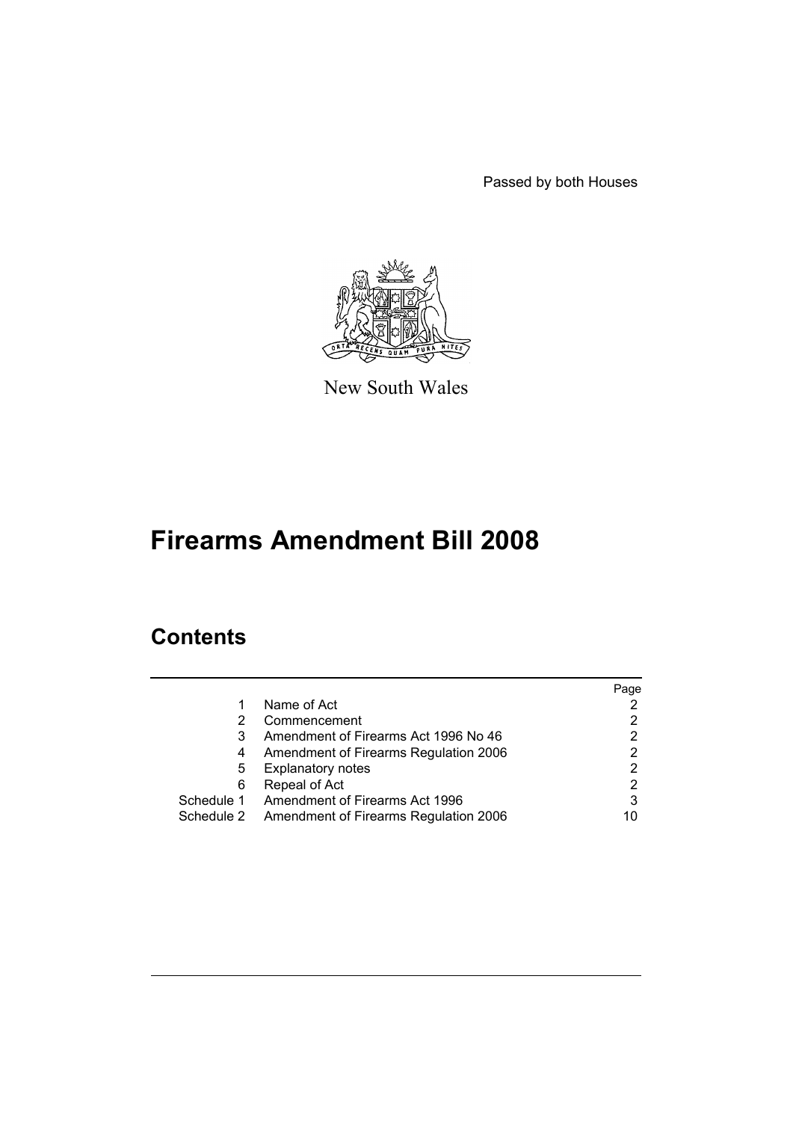Passed by both Houses



New South Wales

# **Firearms Amendment Bill 2008**

# **Contents**

|            |                                           | Page |
|------------|-------------------------------------------|------|
| 1          | Name of Act                               |      |
| 2          | Commencement                              |      |
| 3          | Amendment of Firearms Act 1996 No 46      |      |
| 4          | Amendment of Firearms Regulation 2006     | 2    |
| 5          | <b>Explanatory notes</b>                  | 2    |
| 6          | Repeal of Act                             | 2    |
|            | Schedule 1 Amendment of Firearms Act 1996 | 3    |
| Schedule 2 | Amendment of Firearms Regulation 2006     | 10   |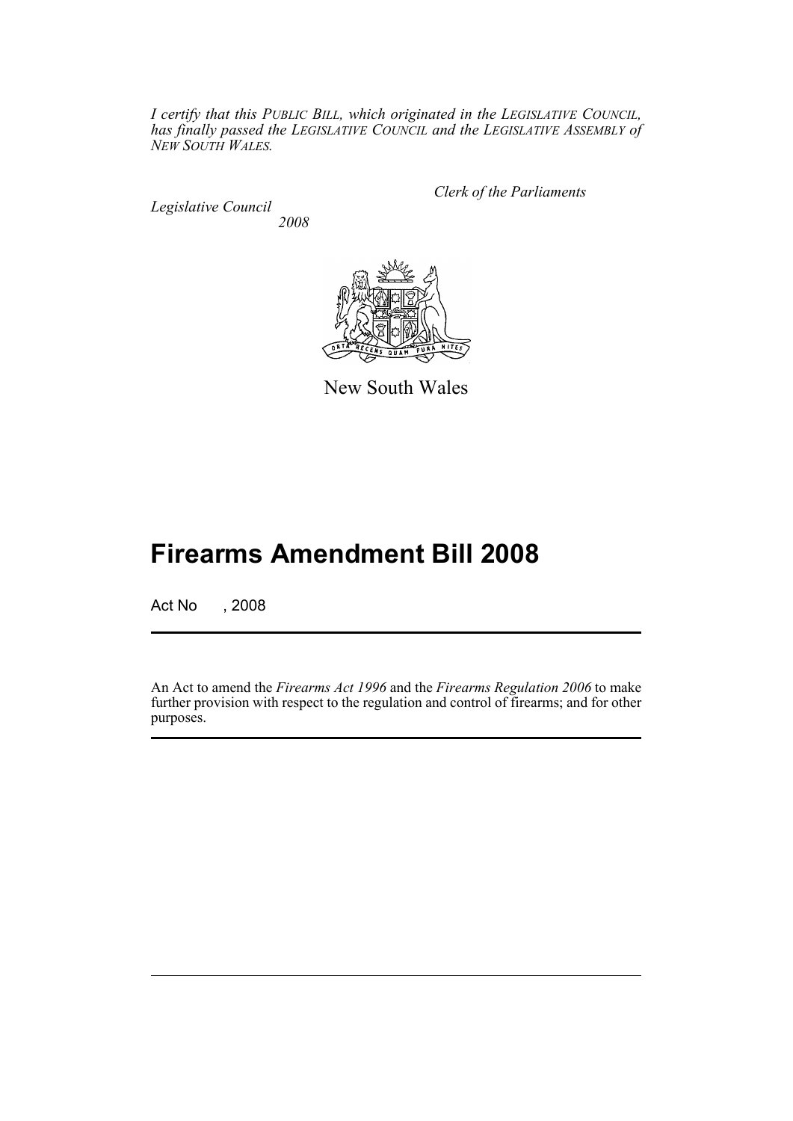*I certify that this PUBLIC BILL, which originated in the LEGISLATIVE COUNCIL, has finally passed the LEGISLATIVE COUNCIL and the LEGISLATIVE ASSEMBLY of NEW SOUTH WALES.*

*Legislative Council 2008* *Clerk of the Parliaments*



New South Wales

# **Firearms Amendment Bill 2008**

Act No , 2008

An Act to amend the *Firearms Act 1996* and the *Firearms Regulation 2006* to make further provision with respect to the regulation and control of firearms; and for other purposes.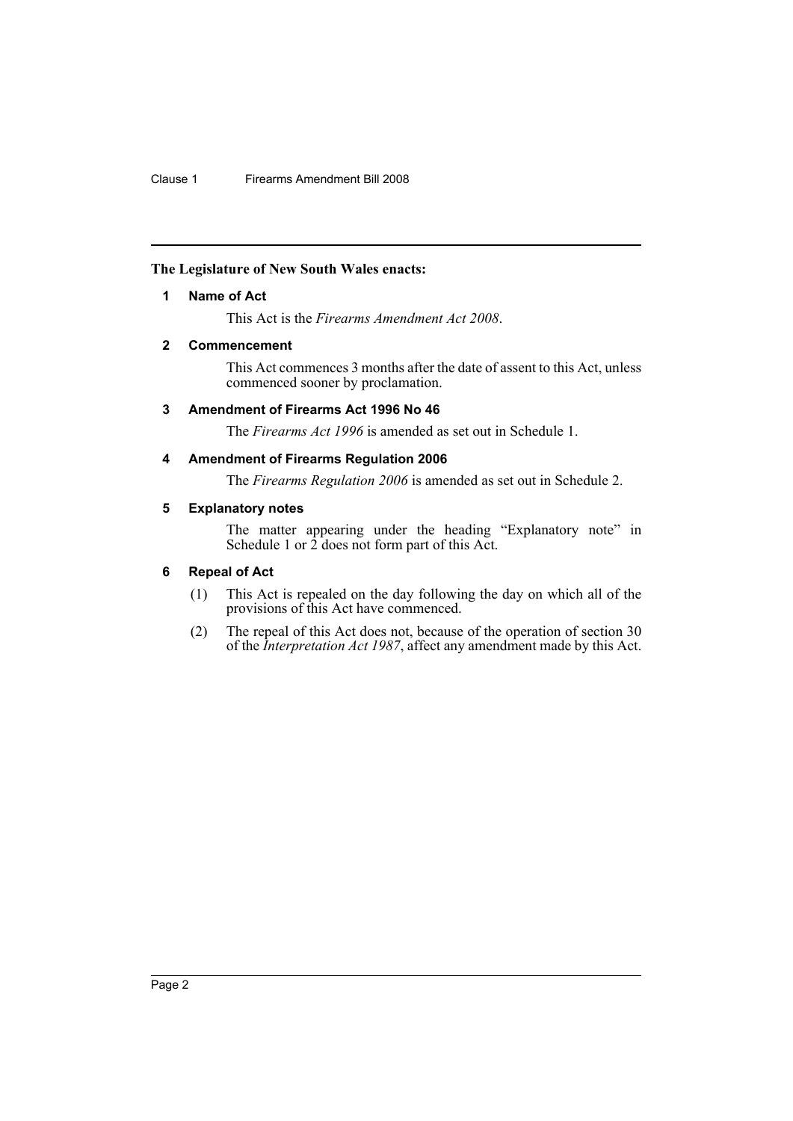## <span id="page-2-0"></span>**The Legislature of New South Wales enacts:**

## **1 Name of Act**

This Act is the *Firearms Amendment Act 2008*.

## <span id="page-2-1"></span>**2 Commencement**

This Act commences 3 months after the date of assent to this Act, unless commenced sooner by proclamation.

## <span id="page-2-2"></span>**3 Amendment of Firearms Act 1996 No 46**

The *Firearms Act 1996* is amended as set out in Schedule 1.

## <span id="page-2-3"></span>**4 Amendment of Firearms Regulation 2006**

The *Firearms Regulation 2006* is amended as set out in Schedule 2.

## <span id="page-2-4"></span>**5 Explanatory notes**

The matter appearing under the heading "Explanatory note" in Schedule 1 or 2 does not form part of this Act.

## <span id="page-2-5"></span>**6 Repeal of Act**

- (1) This Act is repealed on the day following the day on which all of the provisions of this Act have commenced.
- (2) The repeal of this Act does not, because of the operation of section 30 of the *Interpretation Act 1987*, affect any amendment made by this Act.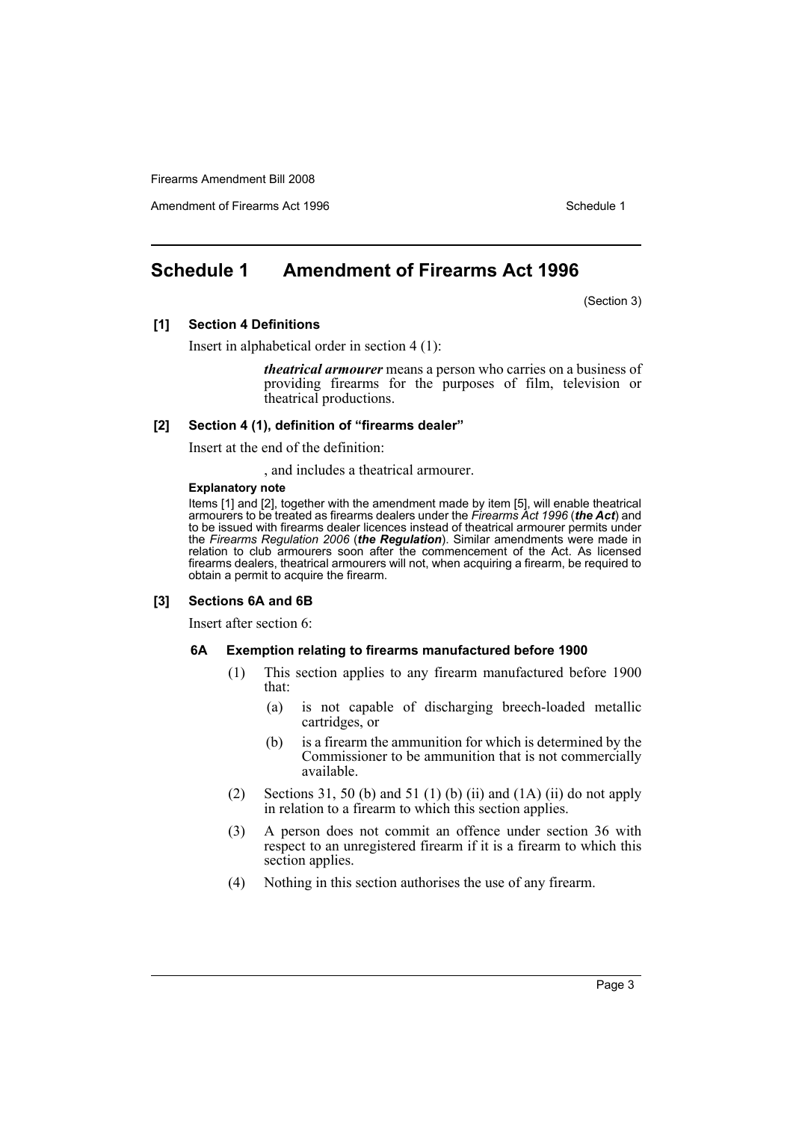Amendment of Firearms Act 1996 Schedule 1

## <span id="page-3-0"></span>**Schedule 1 Amendment of Firearms Act 1996**

(Section 3)

## **[1] Section 4 Definitions**

Insert in alphabetical order in section 4 (1):

*theatrical armourer* means a person who carries on a business of providing firearms for the purposes of film, television or theatrical productions.

#### **[2] Section 4 (1), definition of "firearms dealer"**

Insert at the end of the definition:

, and includes a theatrical armourer.

## **Explanatory note**

Items [1] and [2], together with the amendment made by item [5], will enable theatrical armourers to be treated as firearms dealers under the *Firearms Act 1996* (*the Act*) and to be issued with firearms dealer licences instead of theatrical armourer permits under the *Firearms Regulation 2006* (*the Regulation*). Similar amendments were made in relation to club armourers soon after the commencement of the Act. As licensed firearms dealers, theatrical armourers will not, when acquiring a firearm, be required to obtain a permit to acquire the firearm.

#### **[3] Sections 6A and 6B**

Insert after section 6:

#### **6A Exemption relating to firearms manufactured before 1900**

- (1) This section applies to any firearm manufactured before 1900 that:
	- (a) is not capable of discharging breech-loaded metallic cartridges, or
	- (b) is a firearm the ammunition for which is determined by the Commissioner to be ammunition that is not commercially available.
- (2) Sections 31, 50 (b) and 51 (1) (b) (ii) and  $(1A)$  (ii) do not apply in relation to a firearm to which this section applies.
- (3) A person does not commit an offence under section 36 with respect to an unregistered firearm if it is a firearm to which this section applies.
- (4) Nothing in this section authorises the use of any firearm.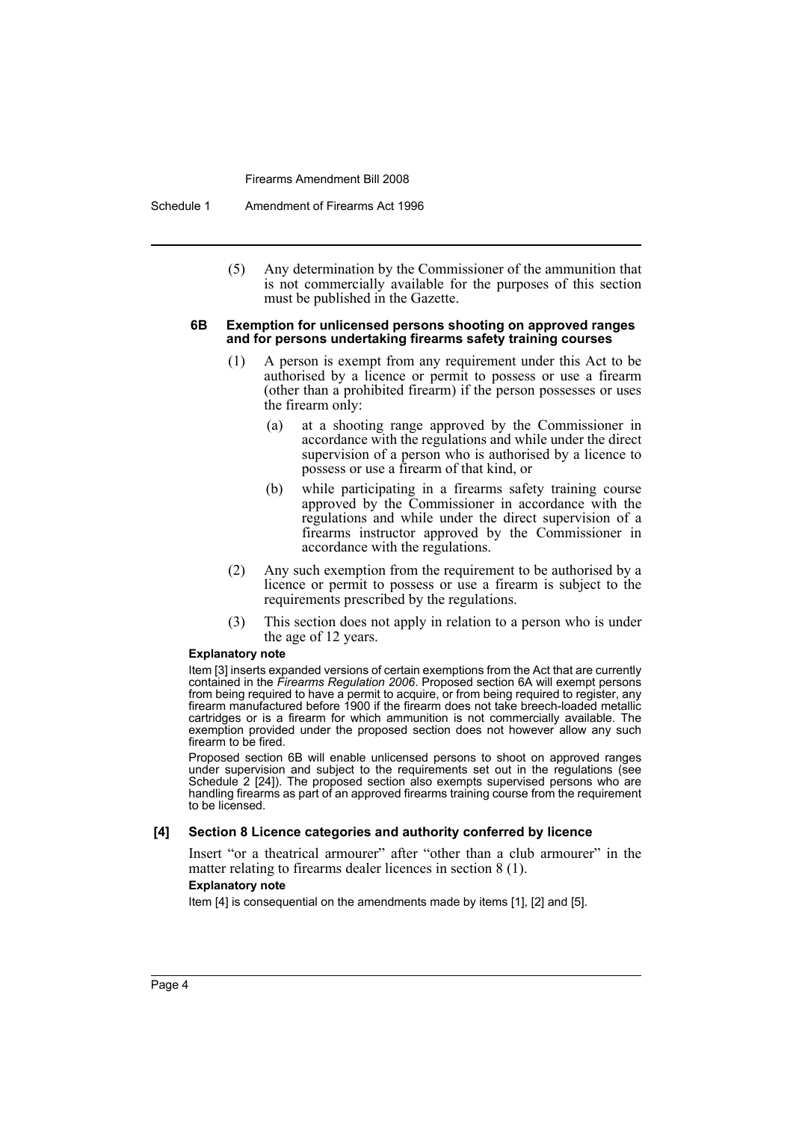Schedule 1 Amendment of Firearms Act 1996

(5) Any determination by the Commissioner of the ammunition that is not commercially available for the purposes of this section must be published in the Gazette.

#### **6B Exemption for unlicensed persons shooting on approved ranges and for persons undertaking firearms safety training courses**

- (1) A person is exempt from any requirement under this Act to be authorised by a licence or permit to possess or use a firearm (other than a prohibited firearm) if the person possesses or uses the firearm only:
	- (a) at a shooting range approved by the Commissioner in accordance with the regulations and while under the direct supervision of a person who is authorised by a licence to possess or use a firearm of that kind, or
	- (b) while participating in a firearms safety training course approved by the Commissioner in accordance with the regulations and while under the direct supervision of a firearms instructor approved by the Commissioner in accordance with the regulations.
- (2) Any such exemption from the requirement to be authorised by a licence or permit to possess or use a firearm is subject to the requirements prescribed by the regulations.
- (3) This section does not apply in relation to a person who is under the age of 12 years.

#### **Explanatory note**

Item [3] inserts expanded versions of certain exemptions from the Act that are currently contained in the *Firearms Regulation 2006*. Proposed section 6A will exempt persons from being required to have a permit to acquire, or from being required to register, any firearm manufactured before 1900 if the firearm does not take breech-loaded metallic cartridges or is a firearm for which ammunition is not commercially available. The exemption provided under the proposed section does not however allow any such firearm to be fired.

Proposed section 6B will enable unlicensed persons to shoot on approved ranges under supervision and subject to the requirements set out in the regulations (see Schedule 2 [24]). The proposed section also exempts supervised persons who are handling firearms as part of an approved firearms training course from the requirement to be licensed.

## **[4] Section 8 Licence categories and authority conferred by licence**

Insert "or a theatrical armourer" after "other than a club armourer" in the matter relating to firearms dealer licences in section 8 (1).

## **Explanatory note**

Item [4] is consequential on the amendments made by items [1], [2] and [5].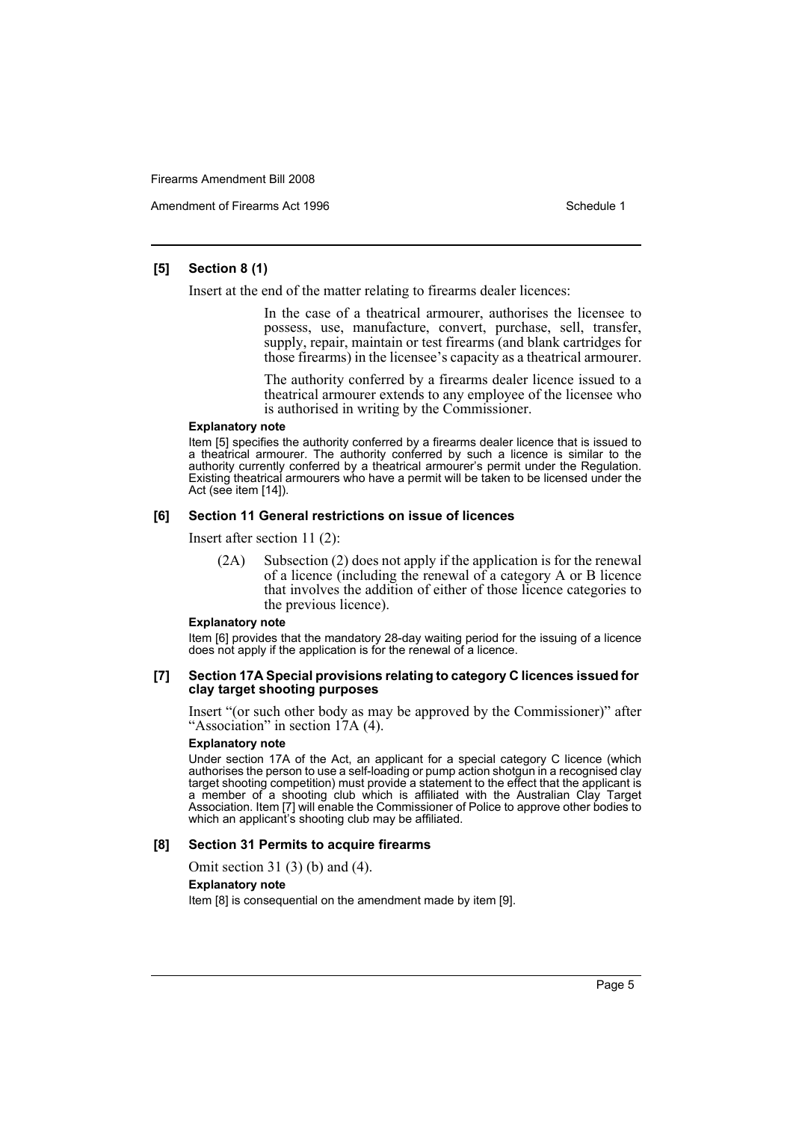Amendment of Firearms Act 1996 Schedule 1

## **[5] Section 8 (1)**

Insert at the end of the matter relating to firearms dealer licences:

In the case of a theatrical armourer, authorises the licensee to possess, use, manufacture, convert, purchase, sell, transfer, supply, repair, maintain or test firearms (and blank cartridges for those firearms) in the licensee's capacity as a theatrical armourer.

The authority conferred by a firearms dealer licence issued to a theatrical armourer extends to any employee of the licensee who is authorised in writing by the Commissioner.

#### **Explanatory note**

Item [5] specifies the authority conferred by a firearms dealer licence that is issued to a theatrical armourer. The authority conferred by such a licence is similar to the authority currently conferred by a theatrical armourer's permit under the Regulation. Existing theatrical armourers who have a permit will be taken to be licensed under the Act (see item [14]).

## **[6] Section 11 General restrictions on issue of licences**

Insert after section 11 (2):

(2A) Subsection (2) does not apply if the application is for the renewal of a licence (including the renewal of a category A or B licence that involves the addition of either of those licence categories to the previous licence).

#### **Explanatory note**

Item [6] provides that the mandatory 28-day waiting period for the issuing of a licence does not apply if the application is for the renewal of a licence.

#### **[7] Section 17A Special provisions relating to category C licences issued for clay target shooting purposes**

Insert "(or such other body as may be approved by the Commissioner)" after "Association" in section 17A (4).

#### **Explanatory note**

Under section 17A of the Act, an applicant for a special category C licence (which authorises the person to use a self-loading or pump action shotgun in a recognised clay target shooting competition) must provide a statement to the effect that the applicant is a member of a shooting club which is affiliated with the Australian Clay Target Association. Item [7] will enable the Commissioner of Police to approve other bodies to which an applicant's shooting club may be affiliated.

## **[8] Section 31 Permits to acquire firearms**

Omit section 31 (3) (b) and (4).

## **Explanatory note**

Item [8] is consequential on the amendment made by item [9].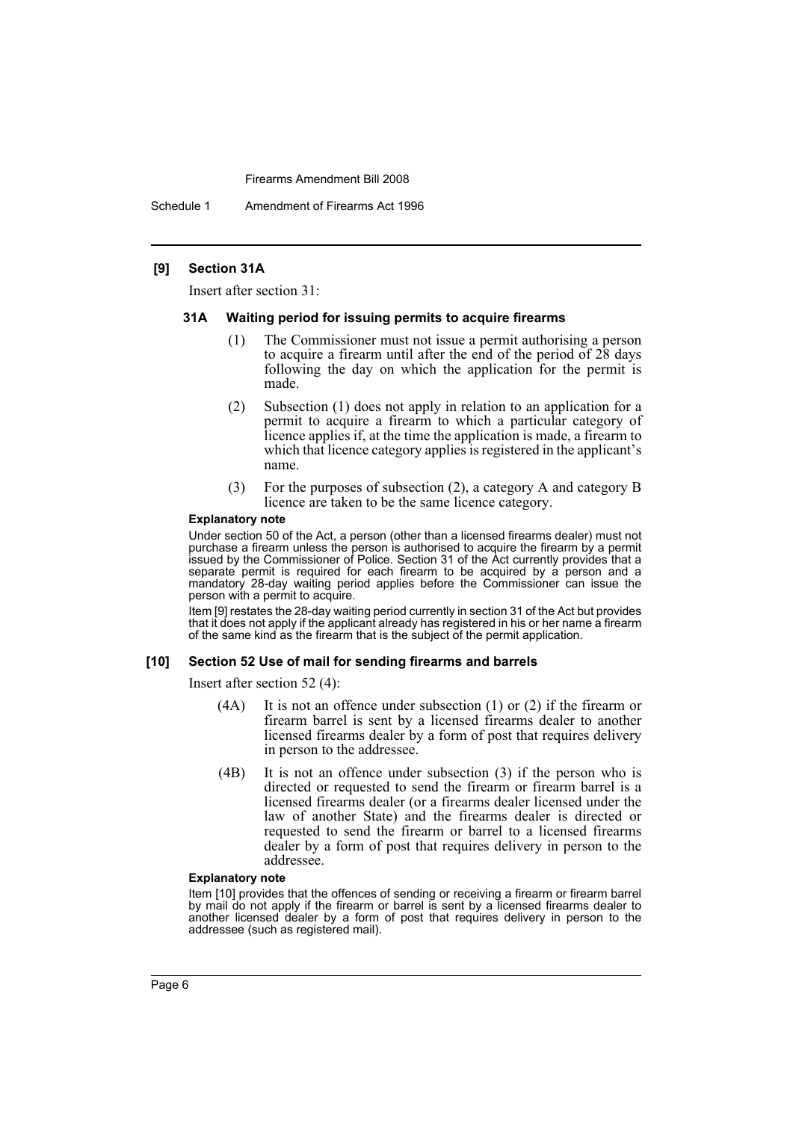Schedule 1 Amendment of Firearms Act 1996

## **[9] Section 31A**

Insert after section 31:

### **31A Waiting period for issuing permits to acquire firearms**

- (1) The Commissioner must not issue a permit authorising a person to acquire a firearm until after the end of the period of 28 days following the day on which the application for the permit is made.
- (2) Subsection (1) does not apply in relation to an application for a permit to acquire a firearm to which a particular category of licence applies if, at the time the application is made, a firearm to which that licence category applies is registered in the applicant's name.
- (3) For the purposes of subsection (2), a category A and category B licence are taken to be the same licence category.

#### **Explanatory note**

Under section 50 of the Act, a person (other than a licensed firearms dealer) must not purchase a firearm unless the person is authorised to acquire the firearm by a permit issued by the Commissioner of Police. Section 31 of the Act currently provides that a separate permit is required for each firearm to be acquired by a person and a mandatory 28-day waiting period applies before the Commissioner can issue the person with a permit to acquire.

Item [9] restates the 28-day waiting period currently in section 31 of the Act but provides that it does not apply if the applicant already has registered in his or her name a firearm of the same kind as the firearm that is the subject of the permit application.

#### **[10] Section 52 Use of mail for sending firearms and barrels**

Insert after section 52 (4):

- (4A) It is not an offence under subsection (1) or (2) if the firearm or firearm barrel is sent by a licensed firearms dealer to another licensed firearms dealer by a form of post that requires delivery in person to the addressee.
- (4B) It is not an offence under subsection (3) if the person who is directed or requested to send the firearm or firearm barrel is a licensed firearms dealer (or a firearms dealer licensed under the law of another State) and the firearms dealer is directed or requested to send the firearm or barrel to a licensed firearms dealer by a form of post that requires delivery in person to the addressee.

#### **Explanatory note**

Item [10] provides that the offences of sending or receiving a firearm or firearm barrel by mail do not apply if the firearm or barrel is sent by a licensed firearms dealer to another licensed dealer by a form of post that requires delivery in person to the addressee (such as registered mail).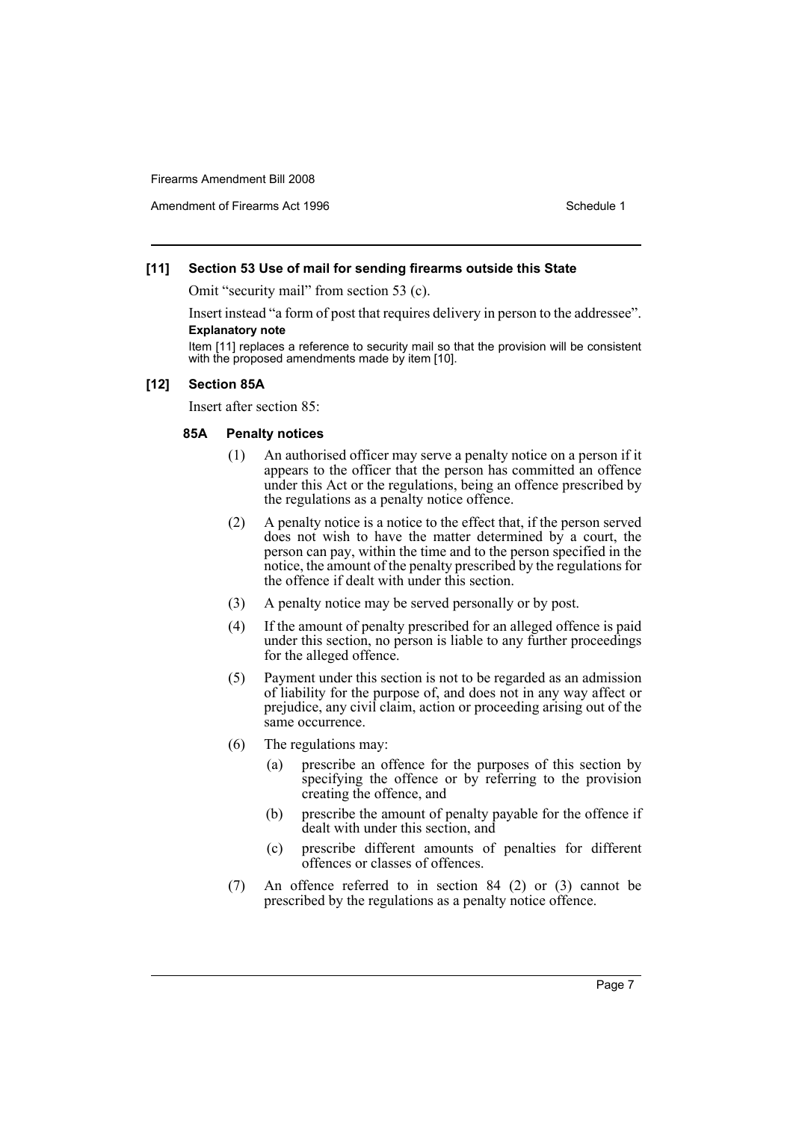Amendment of Firearms Act 1996 Schedule 1

## **[11] Section 53 Use of mail for sending firearms outside this State**

Omit "security mail" from section 53 (c).

Insert instead "a form of post that requires delivery in person to the addressee". **Explanatory note**

Item [11] replaces a reference to security mail so that the provision will be consistent with the proposed amendments made by item [10].

## **[12] Section 85A**

Insert after section 85:

## **85A Penalty notices**

- (1) An authorised officer may serve a penalty notice on a person if it appears to the officer that the person has committed an offence under this Act or the regulations, being an offence prescribed by the regulations as a penalty notice offence.
- (2) A penalty notice is a notice to the effect that, if the person served does not wish to have the matter determined by a court, the person can pay, within the time and to the person specified in the notice, the amount of the penalty prescribed by the regulations for the offence if dealt with under this section.
- (3) A penalty notice may be served personally or by post.
- (4) If the amount of penalty prescribed for an alleged offence is paid under this section, no person is liable to any further proceedings for the alleged offence.
- (5) Payment under this section is not to be regarded as an admission of liability for the purpose of, and does not in any way affect or prejudice, any civil claim, action or proceeding arising out of the same occurrence.
- (6) The regulations may:
	- (a) prescribe an offence for the purposes of this section by specifying the offence or by referring to the provision creating the offence, and
	- (b) prescribe the amount of penalty payable for the offence if dealt with under this section, and
	- (c) prescribe different amounts of penalties for different offences or classes of offences.
- (7) An offence referred to in section 84 (2) or (3) cannot be prescribed by the regulations as a penalty notice offence.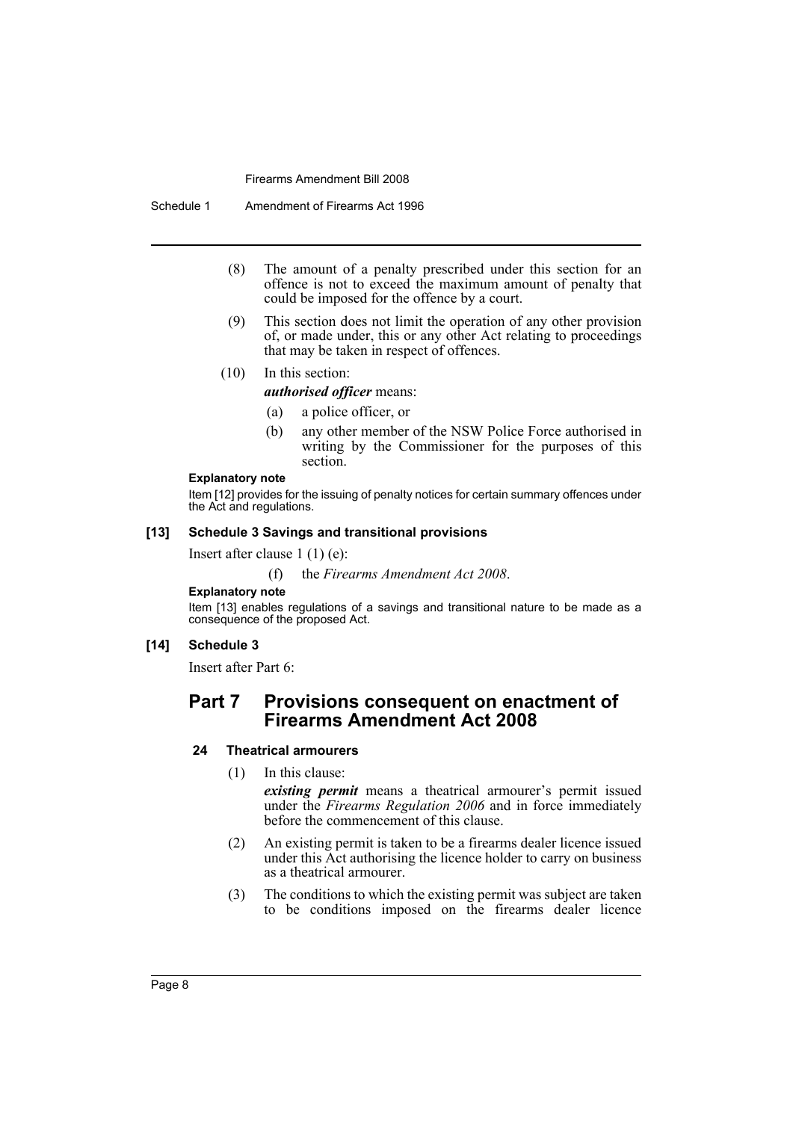Schedule 1 Amendment of Firearms Act 1996

- (8) The amount of a penalty prescribed under this section for an offence is not to exceed the maximum amount of penalty that could be imposed for the offence by a court.
- (9) This section does not limit the operation of any other provision of, or made under, this or any other Act relating to proceedings that may be taken in respect of offences.

## (10) In this section:

*authorised officer* means:

- (a) a police officer, or
- (b) any other member of the NSW Police Force authorised in writing by the Commissioner for the purposes of this section.

#### **Explanatory note**

Item [12] provides for the issuing of penalty notices for certain summary offences under the Act and regulations.

## **[13] Schedule 3 Savings and transitional provisions**

Insert after clause 1 (1) (e):

(f) the *Firearms Amendment Act 2008*.

## **Explanatory note**

Item [13] enables regulations of a savings and transitional nature to be made as a consequence of the proposed Act.

## **[14] Schedule 3**

Insert after Part 6:

## **Part 7 Provisions consequent on enactment of Firearms Amendment Act 2008**

## **24 Theatrical armourers**

(1) In this clause:

*existing permit* means a theatrical armourer's permit issued under the *Firearms Regulation 2006* and in force immediately before the commencement of this clause.

- (2) An existing permit is taken to be a firearms dealer licence issued under this Act authorising the licence holder to carry on business as a theatrical armourer.
- (3) The conditions to which the existing permit was subject are taken to be conditions imposed on the firearms dealer licence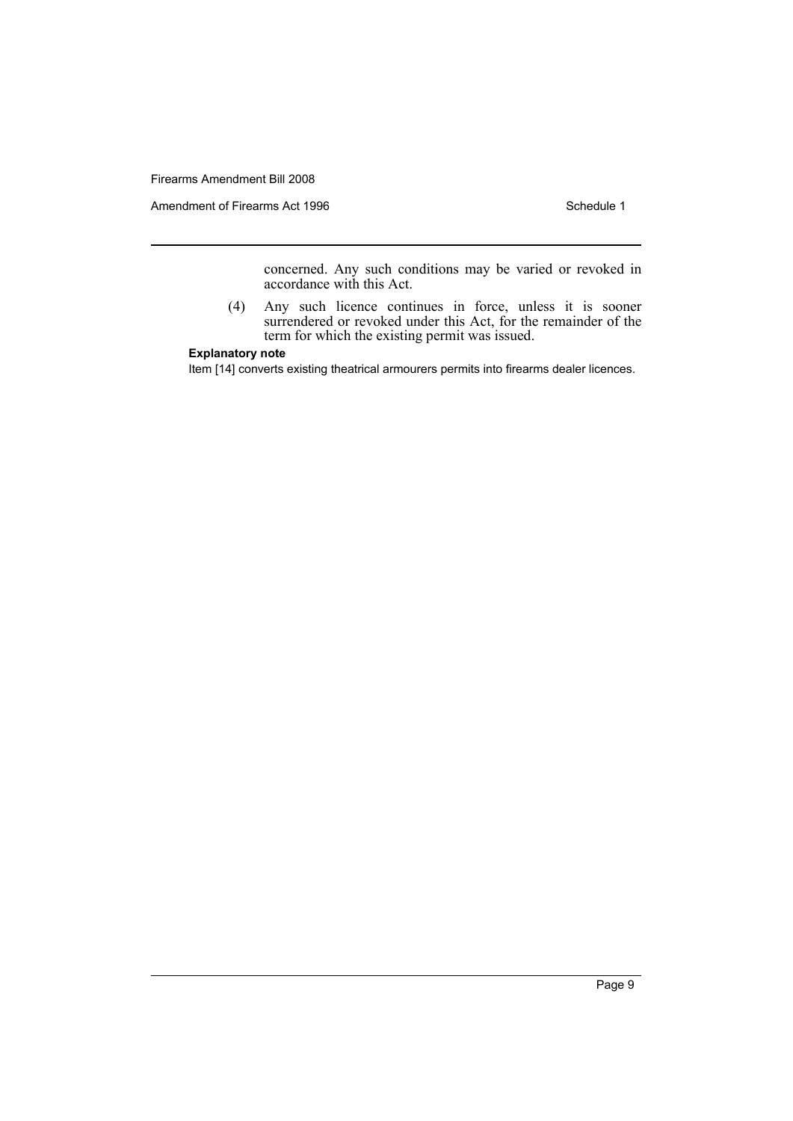Amendment of Firearms Act 1996 Schedule 1

concerned. Any such conditions may be varied or revoked in accordance with this Act.

(4) Any such licence continues in force, unless it is sooner surrendered or revoked under this Act, for the remainder of the term for which the existing permit was issued.

## **Explanatory note**

Item [14] converts existing theatrical armourers permits into firearms dealer licences.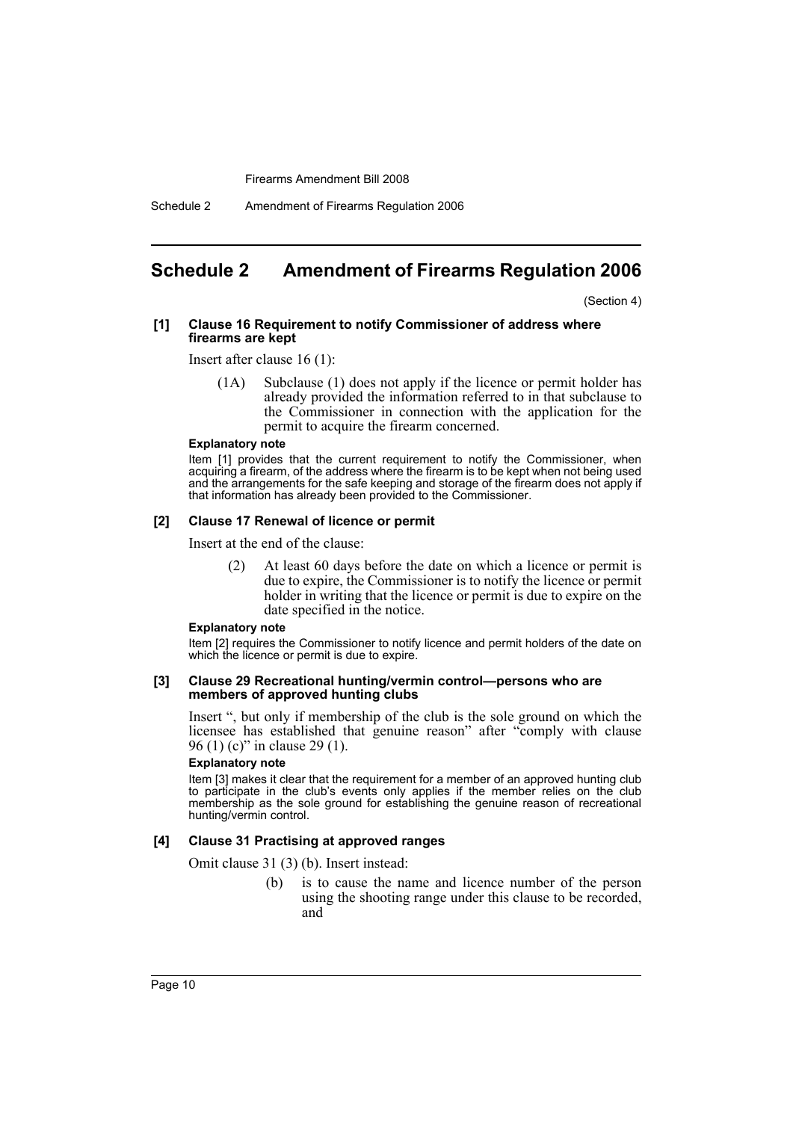Schedule 2 Amendment of Firearms Regulation 2006

## <span id="page-10-0"></span>**Schedule 2 Amendment of Firearms Regulation 2006**

(Section 4)

#### **[1] Clause 16 Requirement to notify Commissioner of address where firearms are kept**

Insert after clause 16 (1):

(1A) Subclause (1) does not apply if the licence or permit holder has already provided the information referred to in that subclause to the Commissioner in connection with the application for the permit to acquire the firearm concerned.

#### **Explanatory note**

Item [1] provides that the current requirement to notify the Commissioner, when acquiring a firearm, of the address where the firearm is to be kept when not being used and the arrangements for the safe keeping and storage of the firearm does not apply if that information has already been provided to the Commissioner.

#### **[2] Clause 17 Renewal of licence or permit**

Insert at the end of the clause:

(2) At least 60 days before the date on which a licence or permit is due to expire, the Commissioner is to notify the licence or permit holder in writing that the licence or permit is due to expire on the date specified in the notice.

#### **Explanatory note**

Item [2] requires the Commissioner to notify licence and permit holders of the date on which the licence or permit is due to expire.

#### **[3] Clause 29 Recreational hunting/vermin control—persons who are members of approved hunting clubs**

Insert ", but only if membership of the club is the sole ground on which the licensee has established that genuine reason" after "comply with clause 96 (1) (c)" in clause 29 (1).

## **Explanatory note**

Item [3] makes it clear that the requirement for a member of an approved hunting club to participate in the club's events only applies if the member relies on the club membership as the sole ground for establishing the genuine reason of recreational hunting/vermin control.

## **[4] Clause 31 Practising at approved ranges**

Omit clause 31 (3) (b). Insert instead:

(b) is to cause the name and licence number of the person using the shooting range under this clause to be recorded, and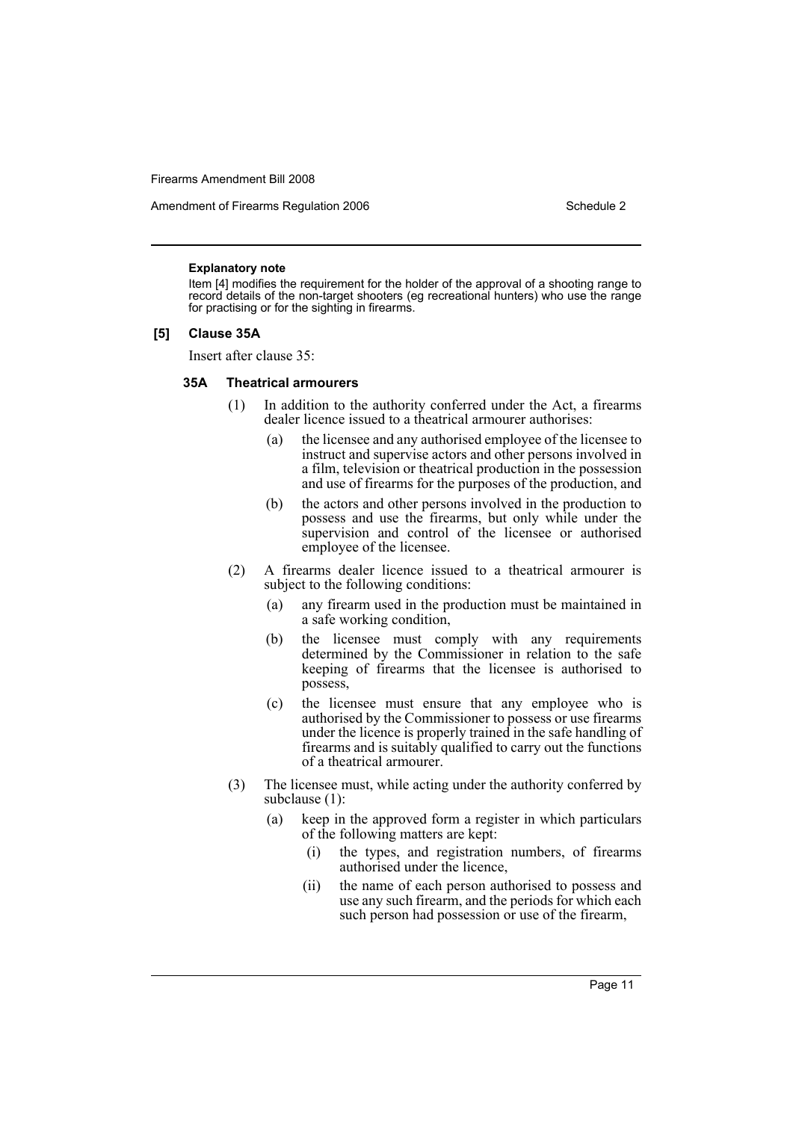Amendment of Firearms Regulation 2006 Schedule 2

#### **Explanatory note**

Item [4] modifies the requirement for the holder of the approval of a shooting range to record details of the non-target shooters (eg recreational hunters) who use the range for practising or for the sighting in firearms.

## **[5] Clause 35A**

Insert after clause 35:

#### **35A Theatrical armourers**

- (1) In addition to the authority conferred under the Act, a firearms dealer licence issued to a theatrical armourer authorises:
	- (a) the licensee and any authorised employee of the licensee to instruct and supervise actors and other persons involved in a film, television or theatrical production in the possession and use of firearms for the purposes of the production, and
	- (b) the actors and other persons involved in the production to possess and use the firearms, but only while under the supervision and control of the licensee or authorised employee of the licensee.
- (2) A firearms dealer licence issued to a theatrical armourer is subject to the following conditions:
	- (a) any firearm used in the production must be maintained in a safe working condition,
	- (b) the licensee must comply with any requirements determined by the Commissioner in relation to the safe keeping of firearms that the licensee is authorised to possess,
	- (c) the licensee must ensure that any employee who is authorised by the Commissioner to possess or use firearms under the licence is properly trained in the safe handling of firearms and is suitably qualified to carry out the functions of a theatrical armourer.
- (3) The licensee must, while acting under the authority conferred by subclause (1):
	- (a) keep in the approved form a register in which particulars of the following matters are kept:
		- (i) the types, and registration numbers, of firearms authorised under the licence,
		- (ii) the name of each person authorised to possess and use any such firearm, and the periods for which each such person had possession or use of the firearm,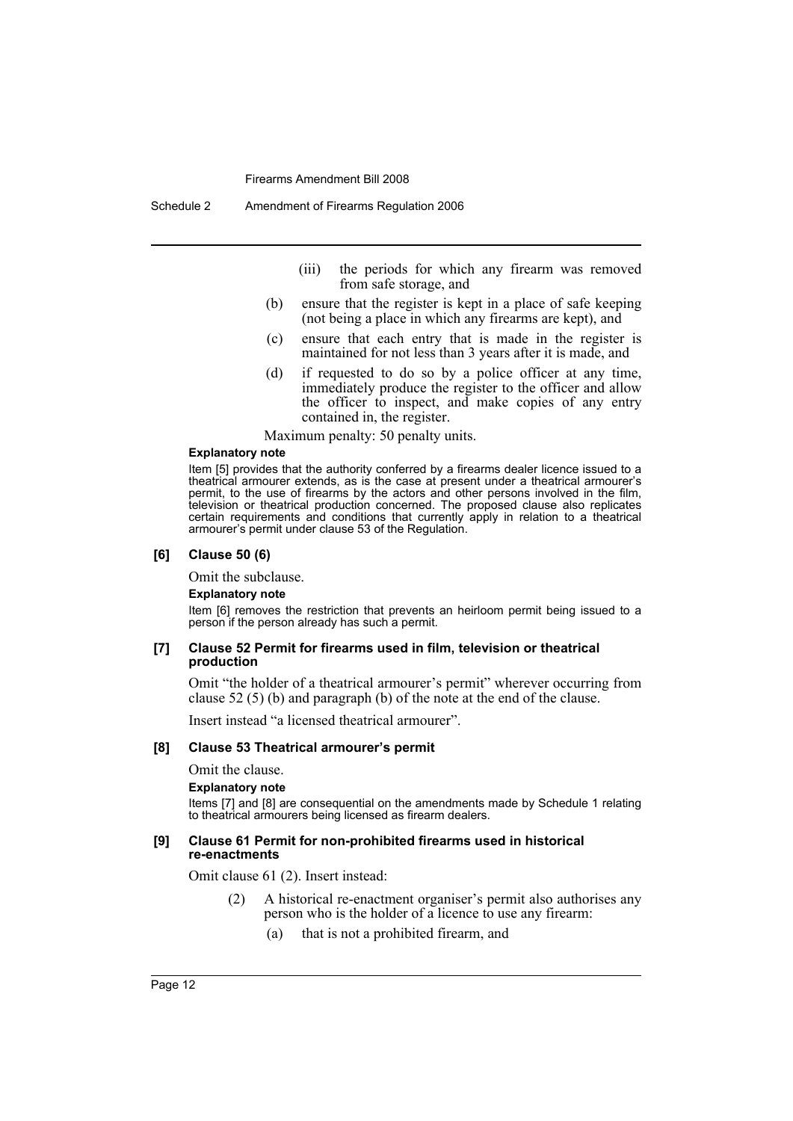Schedule 2 Amendment of Firearms Regulation 2006

- (iii) the periods for which any firearm was removed from safe storage, and
- (b) ensure that the register is kept in a place of safe keeping (not being a place in which any firearms are kept), and
- (c) ensure that each entry that is made in the register is maintained for not less than 3 years after it is made, and
- (d) if requested to do so by a police officer at any time, immediately produce the register to the officer and allow the officer to inspect, and make copies of any entry contained in, the register.

Maximum penalty: 50 penalty units.

#### **Explanatory note**

Item [5] provides that the authority conferred by a firearms dealer licence issued to a theatrical armourer extends, as is the case at present under a theatrical armourer's permit, to the use of firearms by the actors and other persons involved in the film, television or theatrical production concerned. The proposed clause also replicates certain requirements and conditions that currently apply in relation to a theatrical armourer's permit under clause 53 of the Regulation.

## **[6] Clause 50 (6)**

Omit the subclause.

**Explanatory note**

Item [6] removes the restriction that prevents an heirloom permit being issued to a person if the person already has such a permit.

#### **[7] Clause 52 Permit for firearms used in film, television or theatrical production**

Omit "the holder of a theatrical armourer's permit" wherever occurring from clause 52 (5) (b) and paragraph (b) of the note at the end of the clause.

Insert instead "a licensed theatrical armourer".

## **[8] Clause 53 Theatrical armourer's permit**

Omit the clause.

**Explanatory note**

Items [7] and [8] are consequential on the amendments made by Schedule 1 relating to theatrical armourers being licensed as firearm dealers.

#### **[9] Clause 61 Permit for non-prohibited firearms used in historical re-enactments**

Omit clause 61 (2). Insert instead:

- (2) A historical re-enactment organiser's permit also authorises any person who is the holder of a licence to use any firearm:
	- (a) that is not a prohibited firearm, and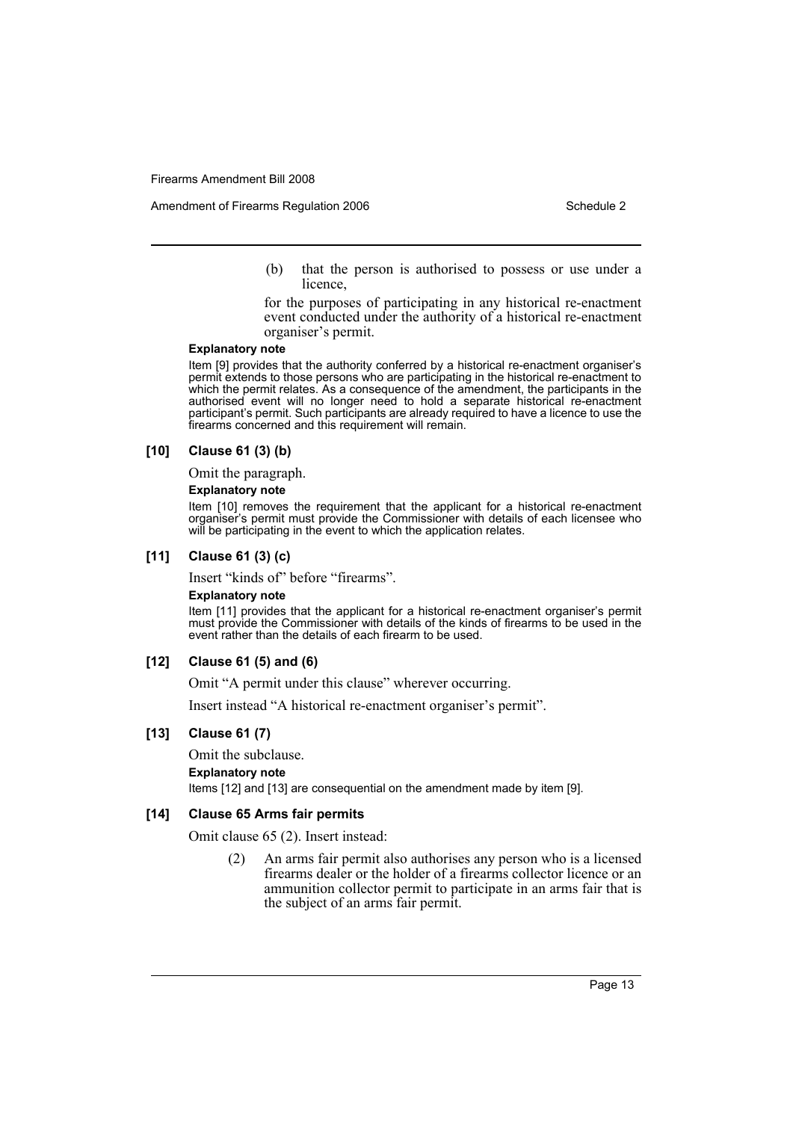(b) that the person is authorised to possess or use under a licence,

for the purposes of participating in any historical re-enactment event conducted under the authority of a historical re-enactment organiser's permit.

#### **Explanatory note**

Item [9] provides that the authority conferred by a historical re-enactment organiser's permit extends to those persons who are participating in the historical re-enactment to which the permit relates. As a consequence of the amendment, the participants in the authorised event will no longer need to hold a separate historical re-enactment participant's permit. Such participants are already required to have a licence to use the firearms concerned and this requirement will remain.

#### **[10] Clause 61 (3) (b)**

Omit the paragraph.

## **Explanatory note**

Item [10] removes the requirement that the applicant for a historical re-enactment organiser's permit must provide the Commissioner with details of each licensee who will be participating in the event to which the application relates.

#### **[11] Clause 61 (3) (c)**

Insert "kinds of" before "firearms".

#### **Explanatory note**

Item [11] provides that the applicant for a historical re-enactment organiser's permit must provide the Commissioner with details of the kinds of firearms to be used in the event rather than the details of each firearm to be used.

## **[12] Clause 61 (5) and (6)**

Omit "A permit under this clause" wherever occurring.

Insert instead "A historical re-enactment organiser's permit".

## **[13] Clause 61 (7)**

Omit the subclause.

**Explanatory note**

Items [12] and [13] are consequential on the amendment made by item [9].

#### **[14] Clause 65 Arms fair permits**

Omit clause 65 (2). Insert instead:

(2) An arms fair permit also authorises any person who is a licensed firearms dealer or the holder of a firearms collector licence or an ammunition collector permit to participate in an arms fair that is the subject of an arms fair permit.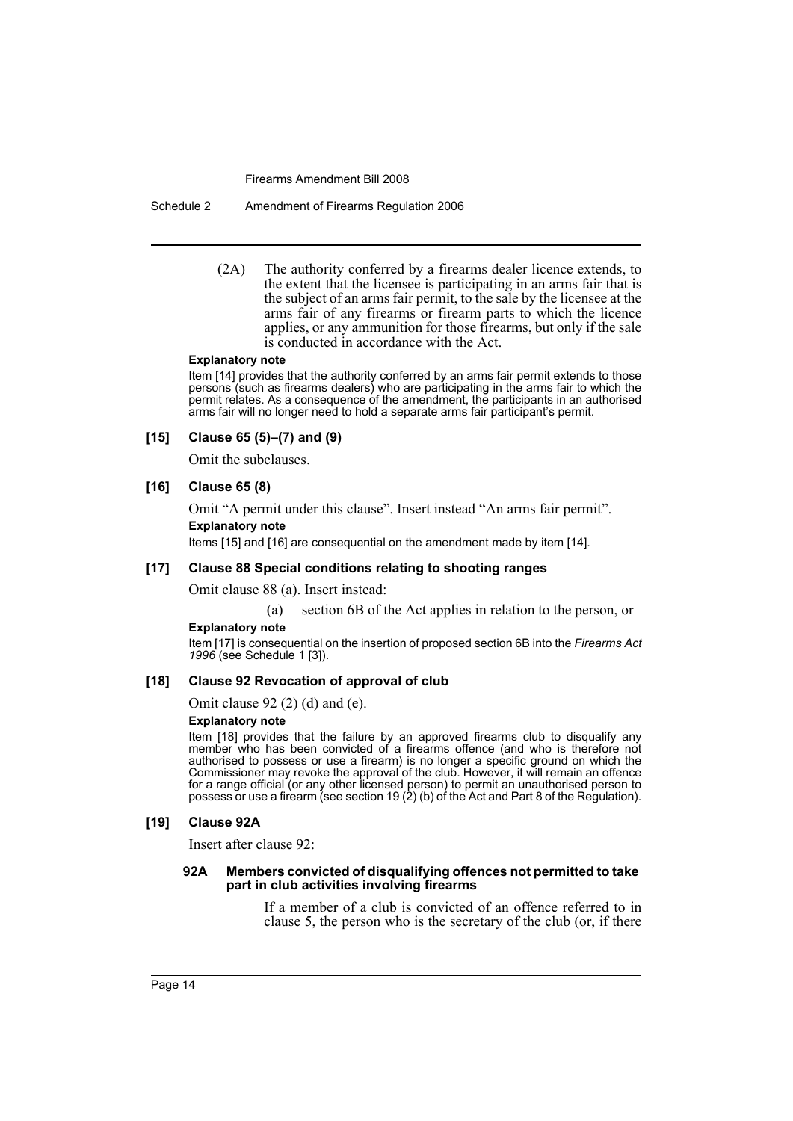Schedule 2 Amendment of Firearms Regulation 2006

(2A) The authority conferred by a firearms dealer licence extends, to the extent that the licensee is participating in an arms fair that is the subject of an arms fair permit, to the sale by the licensee at the arms fair of any firearms or firearm parts to which the licence applies, or any ammunition for those firearms, but only if the sale is conducted in accordance with the Act.

#### **Explanatory note**

Item [14] provides that the authority conferred by an arms fair permit extends to those persons (such as firearms dealers) who are participating in the arms fair to which the permit relates. As a consequence of the amendment, the participants in an authorised arms fair will no longer need to hold a separate arms fair participant's permit.

## **[15] Clause 65 (5)–(7) and (9)**

Omit the subclauses.

## **[16] Clause 65 (8)**

Omit "A permit under this clause". Insert instead "An arms fair permit". **Explanatory note**

Items [15] and [16] are consequential on the amendment made by item [14].

## **[17] Clause 88 Special conditions relating to shooting ranges**

Omit clause 88 (a). Insert instead:

(a) section 6B of the Act applies in relation to the person, or

#### **Explanatory note**

Item [17] is consequential on the insertion of proposed section 6B into the *Firearms Act 1996* (see Schedule 1 [3]).

## **[18] Clause 92 Revocation of approval of club**

Omit clause 92 (2) (d) and (e).

## **Explanatory note**

Item [18] provides that the failure by an approved firearms club to disqualify any member who has been convicted of a firearms offence (and who is therefore not authorised to possess or use a firearm) is no longer a specific ground on which the Commissioner may revoke the approval of the club. However, it will remain an offence for a range official (or any other licensed person) to permit an unauthorised person to possess or use a firearm (see section 19 (2) (b) of the Act and Part 8 of the Regulation).

### **[19] Clause 92A**

Insert after clause 92:

#### **92A Members convicted of disqualifying offences not permitted to take part in club activities involving firearms**

If a member of a club is convicted of an offence referred to in clause 5, the person who is the secretary of the club (or, if there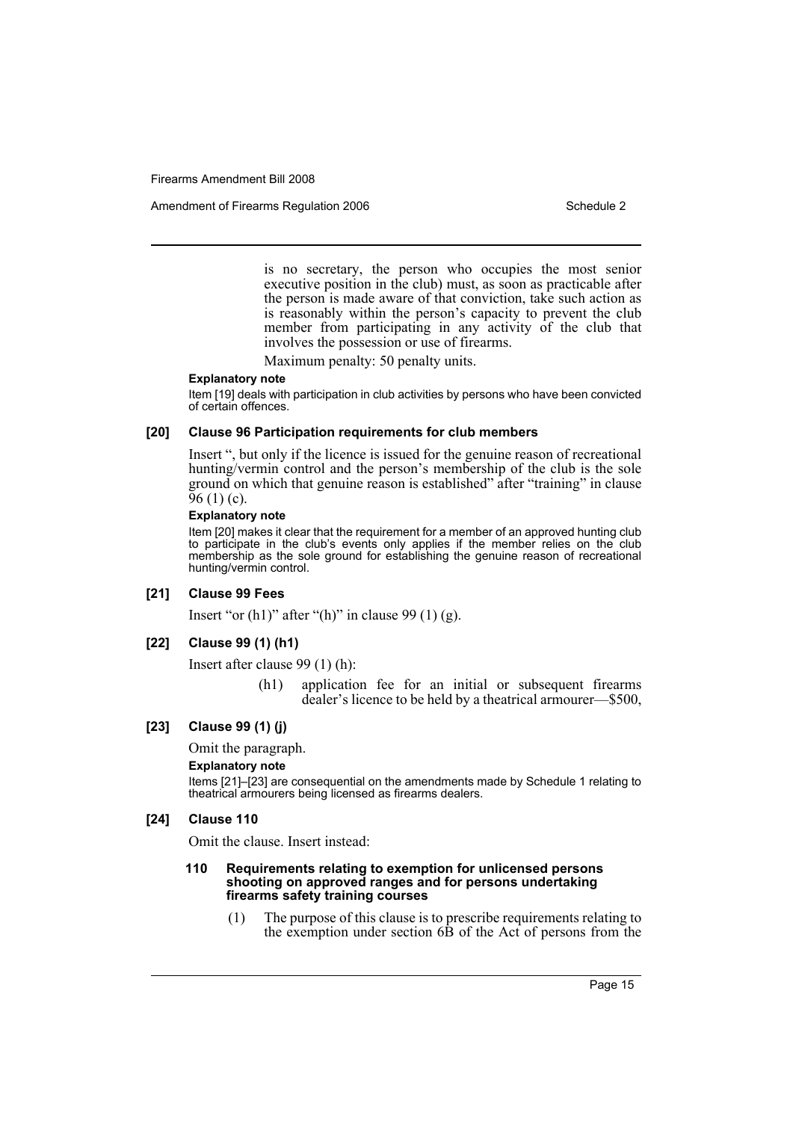Amendment of Firearms Regulation 2006 Schedule 2

is no secretary, the person who occupies the most senior executive position in the club) must, as soon as practicable after the person is made aware of that conviction, take such action as is reasonably within the person's capacity to prevent the club member from participating in any activity of the club that involves the possession or use of firearms.

Maximum penalty: 50 penalty units.

#### **Explanatory note**

Item [19] deals with participation in club activities by persons who have been convicted of certain offences.

## **[20] Clause 96 Participation requirements for club members**

Insert ", but only if the licence is issued for the genuine reason of recreational hunting/vermin control and the person's membership of the club is the sole ground on which that genuine reason is established" after "training" in clause  $96(1)(c)$ .

## **Explanatory note**

Item [20] makes it clear that the requirement for a member of an approved hunting club to participate in the club's events only applies if the member relies on the club membership as the sole ground for establishing the genuine reason of recreational hunting/vermin control.

#### **[21] Clause 99 Fees**

Insert "or  $(h1)$ " after " $(h)$ " in clause 99 $(1)$   $(g)$ .

#### **[22] Clause 99 (1) (h1)**

Insert after clause 99 (1) (h):

(h1) application fee for an initial or subsequent firearms dealer's licence to be held by a theatrical armourer—\$500,

## **[23] Clause 99 (1) (j)**

Omit the paragraph.

## **Explanatory note**

Items [21]–[23] are consequential on the amendments made by Schedule 1 relating to theatrical armourers being licensed as firearms dealers.

#### **[24] Clause 110**

Omit the clause. Insert instead:

#### **110 Requirements relating to exemption for unlicensed persons shooting on approved ranges and for persons undertaking firearms safety training courses**

(1) The purpose of this clause is to prescribe requirements relating to the exemption under section 6B of the Act of persons from the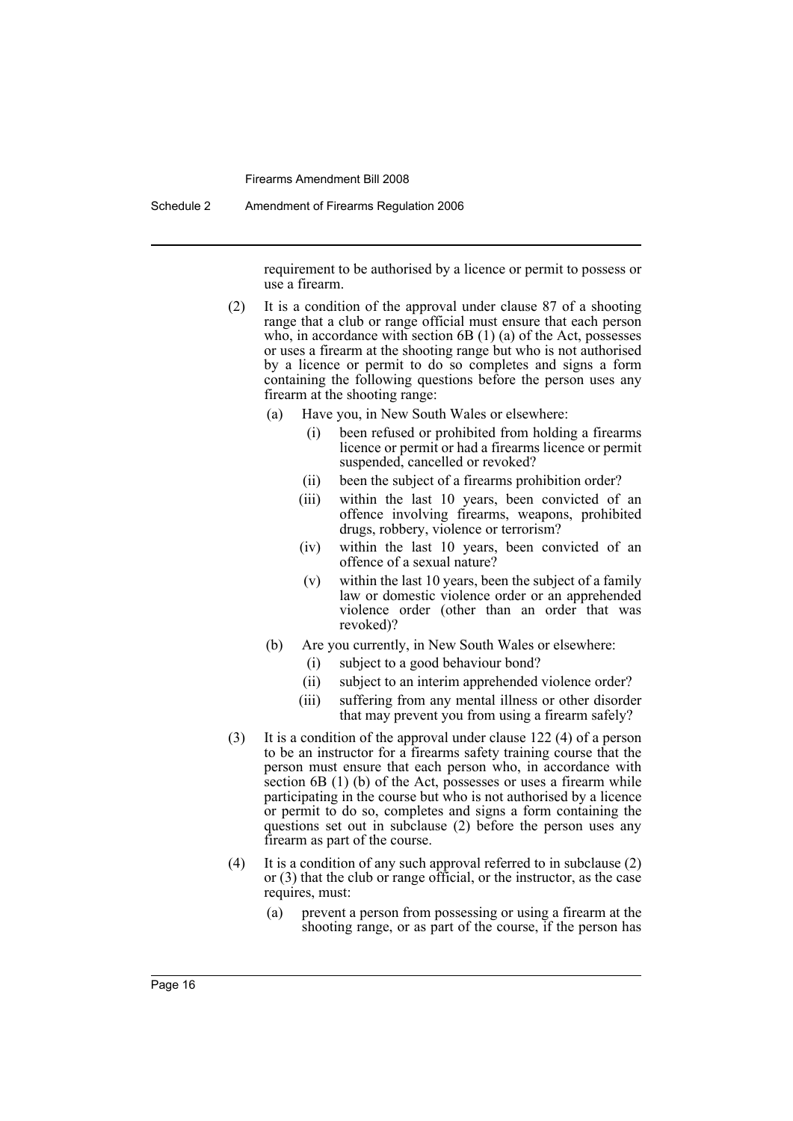Schedule 2 Amendment of Firearms Regulation 2006

requirement to be authorised by a licence or permit to possess or use a firearm.

- (2) It is a condition of the approval under clause 87 of a shooting range that a club or range official must ensure that each person who, in accordance with section 6B (1) (a) of the Act, possesses or uses a firearm at the shooting range but who is not authorised by a licence or permit to do so completes and signs a form containing the following questions before the person uses any firearm at the shooting range:
	- (a) Have you, in New South Wales or elsewhere:
		- (i) been refused or prohibited from holding a firearms licence or permit or had a firearms licence or permit suspended, cancelled or revoked?
		- (ii) been the subject of a firearms prohibition order?
		- (iii) within the last 10 years, been convicted of an offence involving firearms, weapons, prohibited drugs, robbery, violence or terrorism?
		- (iv) within the last 10 years, been convicted of an offence of a sexual nature?
		- (v) within the last 10 years, been the subject of a family law or domestic violence order or an apprehended violence order (other than an order that was revoked)?
	- (b) Are you currently, in New South Wales or elsewhere:
		- (i) subject to a good behaviour bond?
		- (ii) subject to an interim apprehended violence order?
		- (iii) suffering from any mental illness or other disorder that may prevent you from using a firearm safely?
- (3) It is a condition of the approval under clause 122 (4) of a person to be an instructor for a firearms safety training course that the person must ensure that each person who, in accordance with section 6B (1) (b) of the Act, possesses or uses a firearm while participating in the course but who is not authorised by a licence or permit to do so, completes and signs a form containing the questions set out in subclause (2) before the person uses any firearm as part of the course.
- (4) It is a condition of any such approval referred to in subclause (2) or (3) that the club or range official, or the instructor, as the case requires, must:
	- (a) prevent a person from possessing or using a firearm at the shooting range, or as part of the course, if the person has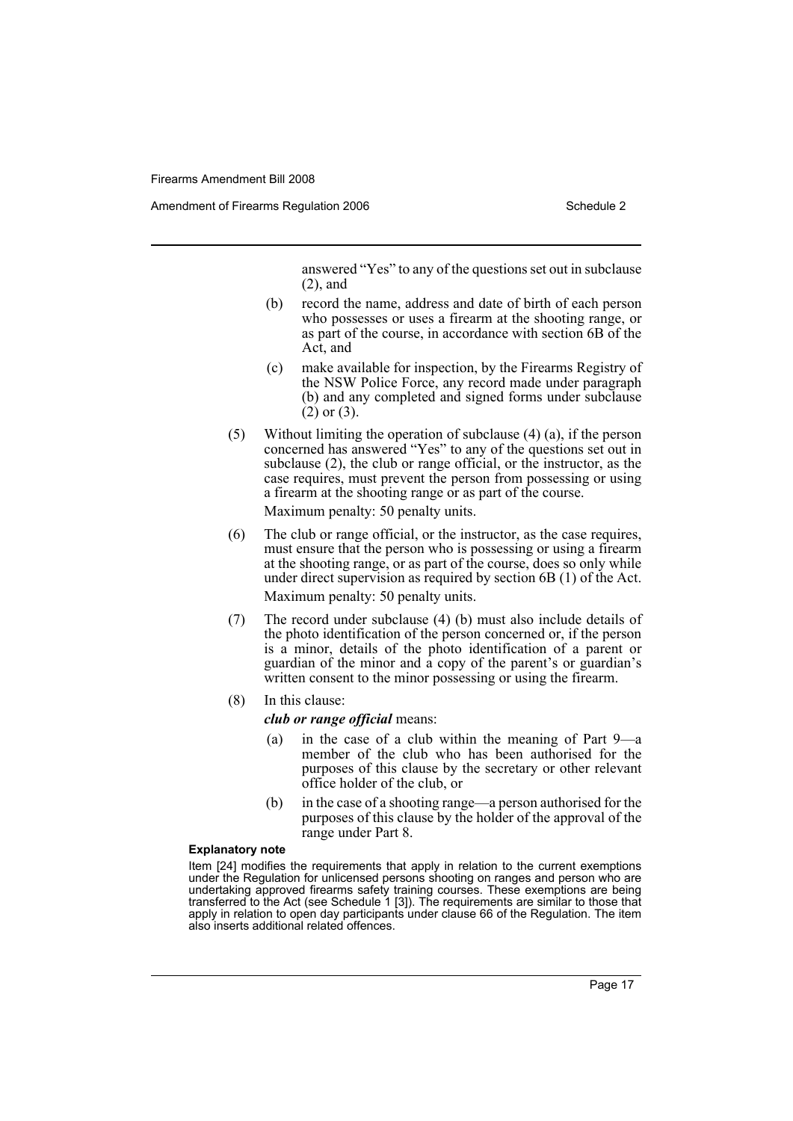Amendment of Firearms Regulation 2006 Schedule 2

answered "Yes" to any of the questions set out in subclause (2), and

- (b) record the name, address and date of birth of each person who possesses or uses a firearm at the shooting range, or as part of the course, in accordance with section 6B of the Act, and
- (c) make available for inspection, by the Firearms Registry of the NSW Police Force, any record made under paragraph (b) and any completed and signed forms under subclause  $(2)$  or  $(3)$ .
- (5) Without limiting the operation of subclause (4) (a), if the person concerned has answered "Yes" to any of the questions set out in subclause (2), the club or range official, or the instructor, as the case requires, must prevent the person from possessing or using a firearm at the shooting range or as part of the course.

Maximum penalty: 50 penalty units.

- (6) The club or range official, or the instructor, as the case requires, must ensure that the person who is possessing or using a firearm at the shooting range, or as part of the course, does so only while under direct supervision as required by section 6B (1) of the Act. Maximum penalty: 50 penalty units.
- (7) The record under subclause (4) (b) must also include details of the photo identification of the person concerned or, if the person is a minor, details of the photo identification of a parent or guardian of the minor and a copy of the parent's or guardian's written consent to the minor possessing or using the firearm.
- (8) In this clause:
	- *club or range official* means:
	- (a) in the case of a club within the meaning of Part 9—a member of the club who has been authorised for the purposes of this clause by the secretary or other relevant office holder of the club, or
	- (b) in the case of a shooting range—a person authorised for the purposes of this clause by the holder of the approval of the range under Part 8.

### **Explanatory note**

Item [24] modifies the requirements that apply in relation to the current exemptions under the Regulation for unlicensed persons shooting on ranges and person who are undertaking approved firearms safety training courses. These exemptions are being transferred to the Act (see Schedule 1 [3]). The requirements are similar to those that apply in relation to open day participants under clause 66 of the Regulation. The item also inserts additional related offences.